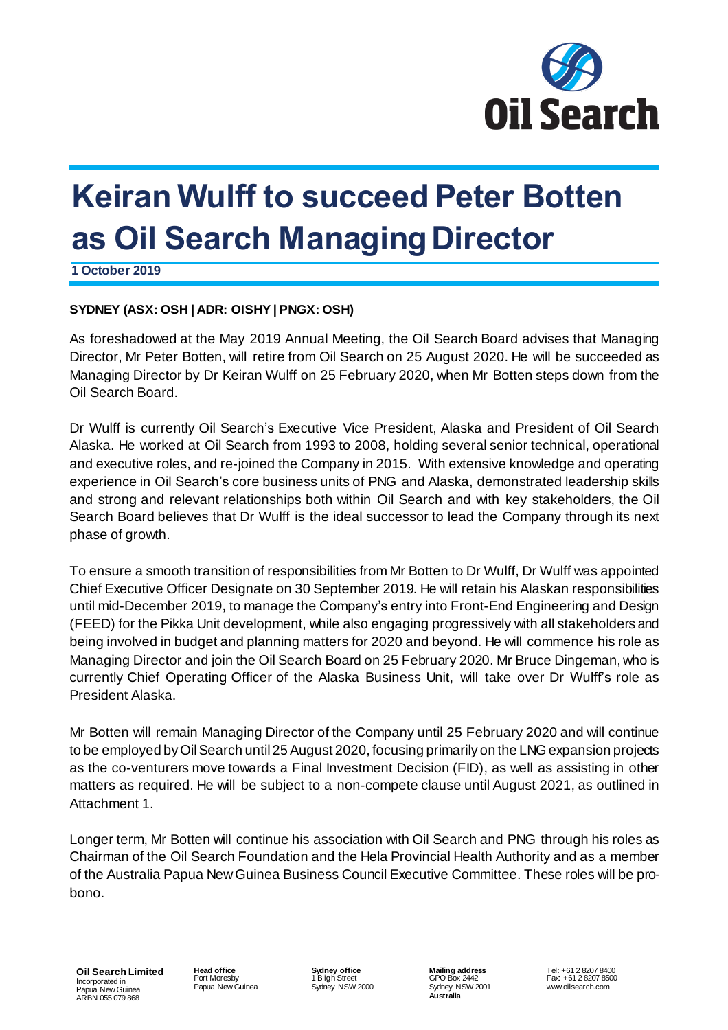

# **Keiran Wulff to succeed Peter Botten as Oil Search Managing Director**

**1 October 2019**

## **SYDNEY (ASX: OSH | ADR: OISHY | PNGX: OSH)**

As foreshadowed at the May 2019 Annual Meeting, the Oil Search Board advises that Managing Director, Mr Peter Botten, will retire from Oil Search on 25 August 2020. He will be succeeded as Managing Director by Dr Keiran Wulff on 25 February 2020, when Mr Botten steps down from the Oil Search Board.

Dr Wulff is currently Oil Search's Executive Vice President, Alaska and President of Oil Search Alaska. He worked at Oil Search from 1993 to 2008, holding several senior technical, operational and executive roles, and re-joined the Company in 2015. With extensive knowledge and operating experience in Oil Search's core business units of PNG and Alaska, demonstrated leadership skills and strong and relevant relationships both within Oil Search and with key stakeholders, the Oil Search Board believes that Dr Wulff is the ideal successor to lead the Company through its next phase of growth.

To ensure a smooth transition of responsibilities from Mr Botten to Dr Wulff, Dr Wulff was appointed Chief Executive Officer Designate on 30 September 2019. He will retain his Alaskan responsibilities until mid-December 2019, to manage the Company's entry into Front-End Engineering and Design (FEED) for the Pikka Unit development, while also engaging progressively with all stakeholders and being involved in budget and planning matters for 2020 and beyond. He will commence his role as Managing Director and join the Oil Search Board on 25 February 2020. Mr Bruce Dingeman, who is currently Chief Operating Officer of the Alaska Business Unit, will take over Dr Wulff's role as President Alaska.

Mr Botten will remain Managing Director of the Company until 25 February 2020 and will continue to be employed by Oil Search until 25 August 2020, focusing primarily on the LNG expansion projects as the co-venturers move towards a Final Investment Decision (FID), as well as assisting in other matters as required. He will be subject to a non-compete clause until August 2021, as outlined in Attachment 1.

Longer term, Mr Botten will continue his association with Oil Search and PNG through his roles as Chairman of the Oil Search Foundation and the Hela Provincial Health Authority and as a member of the Australia Papua NewGuinea Business Council Executive Committee. These roles will be probono.

**Oil Search Limited** Incorporated in Papua New Guinea ARBN 055 079 868

**Head office** Port Moresby Papua NewGuinea **Sydney office** 1 Bligh Street Sydney NSW 2000 **Mailing address** GPO Box 2442 Sydney NSW 2001 **Australia**

Tel: +61 2 8207 8400 Fax: +61 2 8207 8500 www.oilsearch.com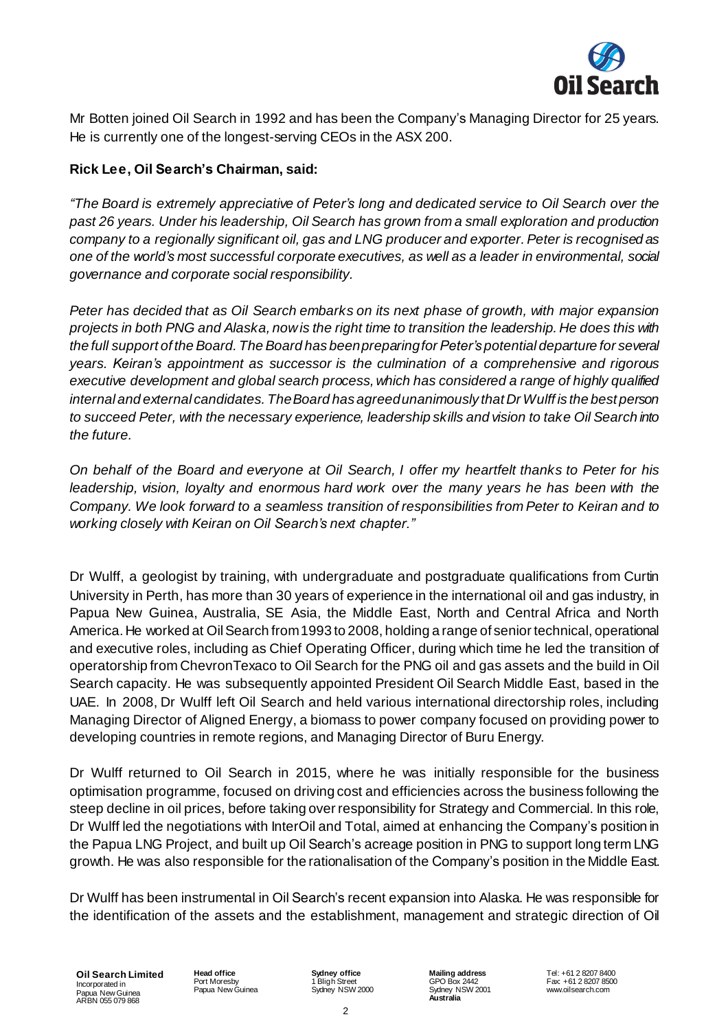

Mr Botten joined Oil Search in 1992 and has been the Company's Managing Director for 25 years. He is currently one of the longest-serving CEOs in the ASX 200.

# **Rick Lee, Oil Search's Chairman, said:**

*"The Board is extremely appreciative of Peter's long and dedicated service to Oil Search over the past 26 years. Under his leadership, Oil Search has grown from a small exploration and production company to a regionally significant oil, gas and LNG producer and exporter.Peter is recognised as one of the world's most successful corporate executives, as well as a leader in environmental, social governance and corporate social responsibility.*

*Peter has decided that as Oil Search embarks on its next phase of growth, with major expansion* projects in both PNG and Alaska, now is the right time to transition the leadership. He does this with *the full support of theBoard. TheBoard has beenpreparingfor Peter's potential departure for several years. Keiran's appointment as successor is the culmination of a comprehensive and rigorous executive development and global search process, which has considered a range of highly qualified internal and external candidates. TheBoard has agreedunanimously that Dr Wulff is the best person to succeed Peter, with the necessary experience, leadership skills and vision to take Oil Search into the future.*

On behalf of the Board and everyone at Oil Search, I offer my heartfelt thanks to Peter for his *leadership, vision, loyalty and enormous hard work over the many years he has been with the Company. We look forward to a seamless transition of responsibilities from Peter to Keiran and to working closely with Keiran on Oil Search's next chapter."* 

Dr Wulff, a geologist by training, with undergraduate and postgraduate qualifications from Curtin University in Perth, has more than 30 years of experience in the international oil and gas industry, in Papua New Guinea, Australia, SE Asia, the Middle East, North and Central Africa and North America. He worked at OilSearch from1993 to 2008, holding a range of senior technical, operational and executive roles, including as Chief Operating Officer, during which time he led the transition of operatorship from ChevronTexaco to Oil Search for the PNG oil and gas assets and the build in Oil Search capacity. He was subsequently appointed President Oil Search Middle East, based in the UAE. In 2008, Dr Wulff left Oil Search and held various international directorship roles, including Managing Director of Aligned Energy, a biomass to power company focused on providing power to developing countries in remote regions, and Managing Director of Buru Energy.

Dr Wulff returned to Oil Search in 2015, where he was initially responsible for the business optimisation programme, focused on driving cost and efficiencies across the business following the steep decline in oil prices, before taking over responsibility for Strategy and Commercial. In this role, Dr Wulff led the negotiations with InterOil and Total, aimed at enhancing the Company's position in the Papua LNG Project, and built up Oil Search's acreage position in PNG to support long term LNG growth. He was also responsible for the rationalisation of the Company's position in the Middle East.

Dr Wulff has been instrumental in Oil Search's recent expansion into Alaska. He was responsible for the identification of the assets and the establishment, management and strategic direction of Oil

**Oil Search Limited** Incorporated in Papua New Guinea ARBN 055 079 868

**Head office** Port Moresby Papua NewGuinea **Sydney office** 1 Bligh Street Sydney NSW 2000 **Mailing address** GPO Box 2442 Sydney NSW 2001 **Australia**

Tel: +61 2 8207 8400 Fax: +61 2 8207 8500 www.oilsearch.com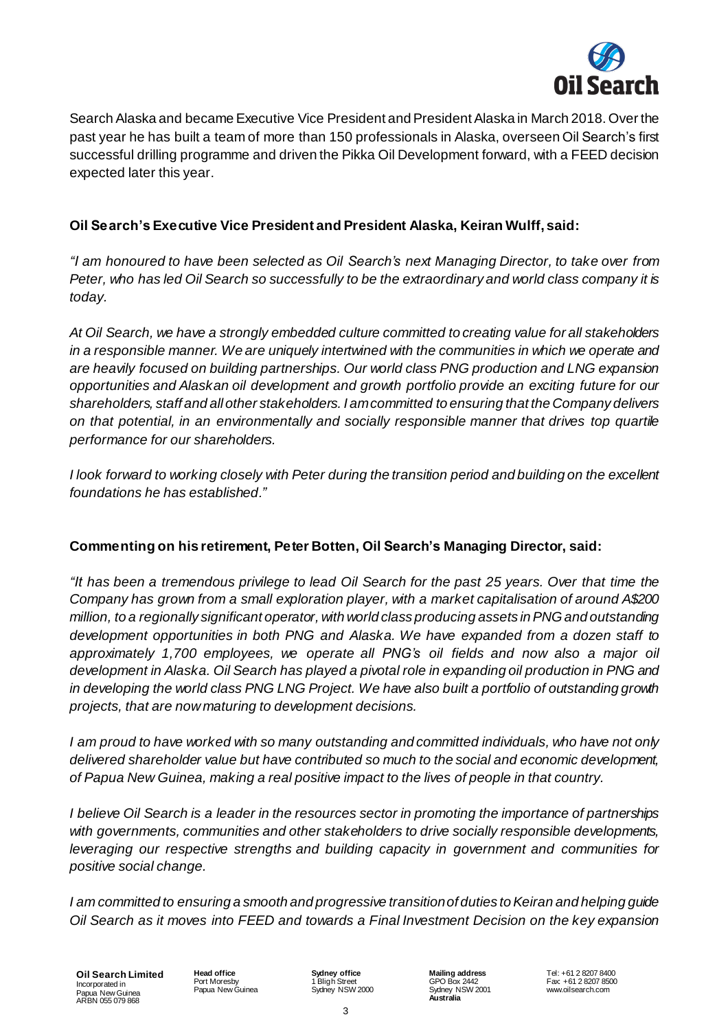

Search Alaska and became Executive Vice President and President Alaska in March 2018. Over the past year he has built a team of more than 150 professionals in Alaska, overseen Oil Search's first successful drilling programme and driven the Pikka Oil Development forward, with a FEED decision expected later this year.

## **Oil Search's Executive Vice President and President Alaska, Keiran Wulff, said:**

*"I am honoured to have been selected as Oil Search's next Managing Director, to take over from* Peter, who has led Oil Search so successfully to be the extraordinary and world class company it is *today.*

*At Oil Search, we have a strongly embedded culture committed to creating value for all stakeholders in a responsible manner. We are uniquely intertwined with the communities in which we operate and are heavily focused on building partnerships. Our world class PNG production and LNG expansion opportunities and Alaskan oil development and growth portfolio provide an exciting future for our shareholders, staff and allother stakeholders. I amcommitted to ensuring that the Company delivers on that potential, in an environmentally and socially responsible manner that drives top quartile performance for our shareholders.*

*I look forward to working closely with Peter during the transition period and building on the excellent foundations he has established."*

## **Commenting on his retirement, Peter Botten, Oil Search's Managing Director, said:**

"It has been a tremendous privilege to lead Oil Search for the past 25 years. Over that time the *Company has grown from a small exploration player, with a market capitalisation of around A\$200 million, to a regionally significant operator, with world class producing assets inPNGand outstanding development opportunities in both PNG and Alaska. We have expanded from a dozen staff to approximately 1,700 employees, we operate all PNG's oil fields and now also a major oil development in Alaska. Oil Search has played a pivotal role in expanding oil production in PNG and in developing the world class PNG LNG Project. We have also built a portfolio of outstanding growth projects, that are nowmaturing to development decisions.*

*I am proud to have worked with so many outstanding and committed individuals, who have not only delivered shareholder value but have contributed so much to the social and economic development, of Papua New Guinea, making a real positive impact to the lives of people in that country.*

*I believe Oil Search is a leader in the resources sector in promoting the importance of partnerships with governments, communities and other stakeholders to drive socially responsible developments, leveraging our respective strengths and building capacity in government and communities for positive social change.* 

*I am committed to ensuring a smooth and progressive transitionof duties toKeiran and helping guide Oil Search as it moves into FEED and towards a Final Investment Decision on the key expansion*

**Oil Search Limited** Incorporated in Papua New Guinea ARBN 055 079 868

**Head office** Port Moresby Papua NewGuinea **Sydney office** 1 Bligh Street Sydney NSW 2000 **Mailing address** GPO Box 2442 Sydney NSW 2001 **Australia**

Tel: +61 2 8207 8400 Fax: +61 2 8207 8500 www.oilsearch.com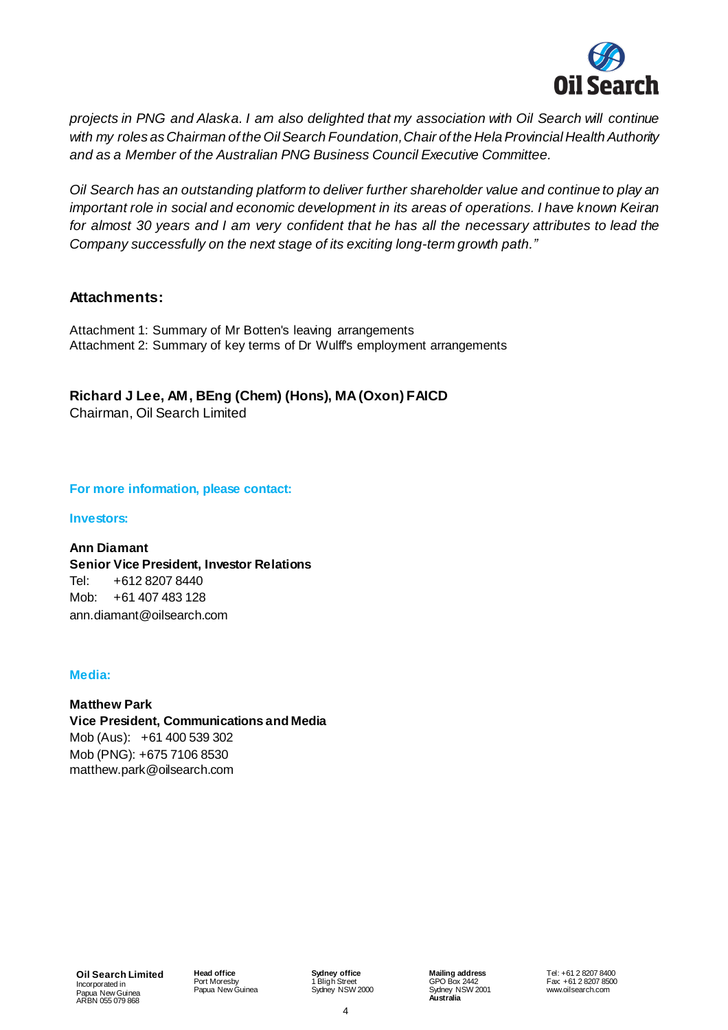

*projects in PNG and Alaska. I am also delighted that my association with Oil Search will continue with my roles asChairman of the OilSearch Foundation,Chair of the HelaProvincial HealthAuthority and as a Member of the Australian PNG Business Council Executive Committee.*

*Oil Search has an outstanding platform to deliver further shareholder value and continue to play an important role in social and economic development in its areas of operations. I have known Keiran* for almost 30 years and I am very confident that he has all the necessary attributes to lead the *Company successfully on the next stage of its exciting long-term growth path."*

# **Attachments:**

Attachment 1: Summary of Mr Botten's leaving arrangements Attachment 2: Summary of key terms of Dr Wulff's employment arrangements

**Richard J Lee, AM, BEng (Chem) (Hons), MA(Oxon) FAICD**

Chairman, Oil Search Limited

### **For more information, please contact:**

#### **Investors:**

**Ann Diamant Senior Vice President, Investor Relations** Tel: +612 8207 8440 Mob: +61 407 483 128 ann.diamant@oilsearch.com

#### **Media:**

**Matthew Park Vice President, Communications and Media** Mob (Aus): +61 400 539 302 Mob (PNG): +675 7106 8530 [matthew.park@oilsearch.com](mailto:matthew.park@oilsearch.com)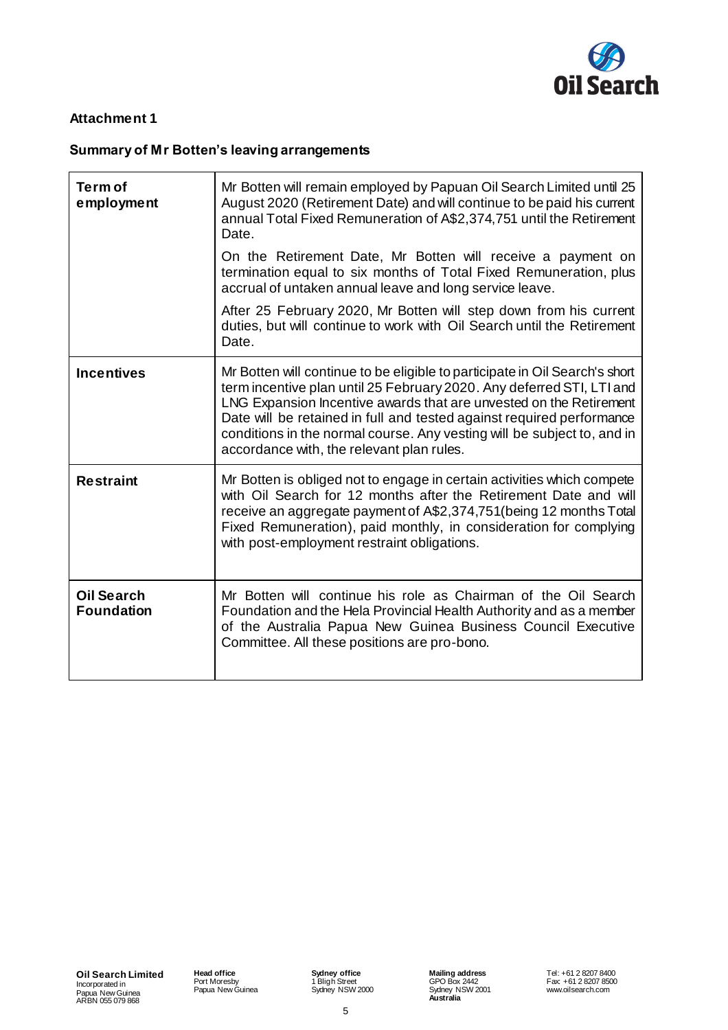

## **Attachment 1**

# **Summary of Mr Botten's leaving arrangements**

| <b>Term of</b><br>employment           | Mr Botten will remain employed by Papuan Oil Search Limited until 25<br>August 2020 (Retirement Date) and will continue to be paid his current<br>annual Total Fixed Remuneration of A\$2,374,751 until the Retirement<br>Date.<br>On the Retirement Date, Mr Botten will receive a payment on<br>termination equal to six months of Total Fixed Remuneration, plus<br>accrual of untaken annual leave and long service leave.<br>After 25 February 2020, Mr Botten will step down from his current<br>duties, but will continue to work with Oil Search until the Retirement<br>Date. |
|----------------------------------------|----------------------------------------------------------------------------------------------------------------------------------------------------------------------------------------------------------------------------------------------------------------------------------------------------------------------------------------------------------------------------------------------------------------------------------------------------------------------------------------------------------------------------------------------------------------------------------------|
| <b>Incentives</b>                      | Mr Botten will continue to be eligible to participate in Oil Search's short<br>term incentive plan until 25 February 2020. Any deferred STI, LTI and<br>LNG Expansion Incentive awards that are unvested on the Retirement<br>Date will be retained in full and tested against required performance<br>conditions in the normal course. Any vesting will be subject to, and in<br>accordance with, the relevant plan rules.                                                                                                                                                            |
| <b>Restraint</b>                       | Mr Botten is obliged not to engage in certain activities which compete<br>with Oil Search for 12 months after the Retirement Date and will<br>receive an aggregate payment of A\$2,374,751(being 12 months Total<br>Fixed Remuneration), paid monthly, in consideration for complying<br>with post-employment restraint obligations.                                                                                                                                                                                                                                                   |
| <b>Oil Search</b><br><b>Foundation</b> | Mr Botten will continue his role as Chairman of the Oil Search<br>Foundation and the Hela Provincial Health Authority and as a member<br>of the Australia Papua New Guinea Business Council Executive<br>Committee. All these positions are pro-bono.                                                                                                                                                                                                                                                                                                                                  |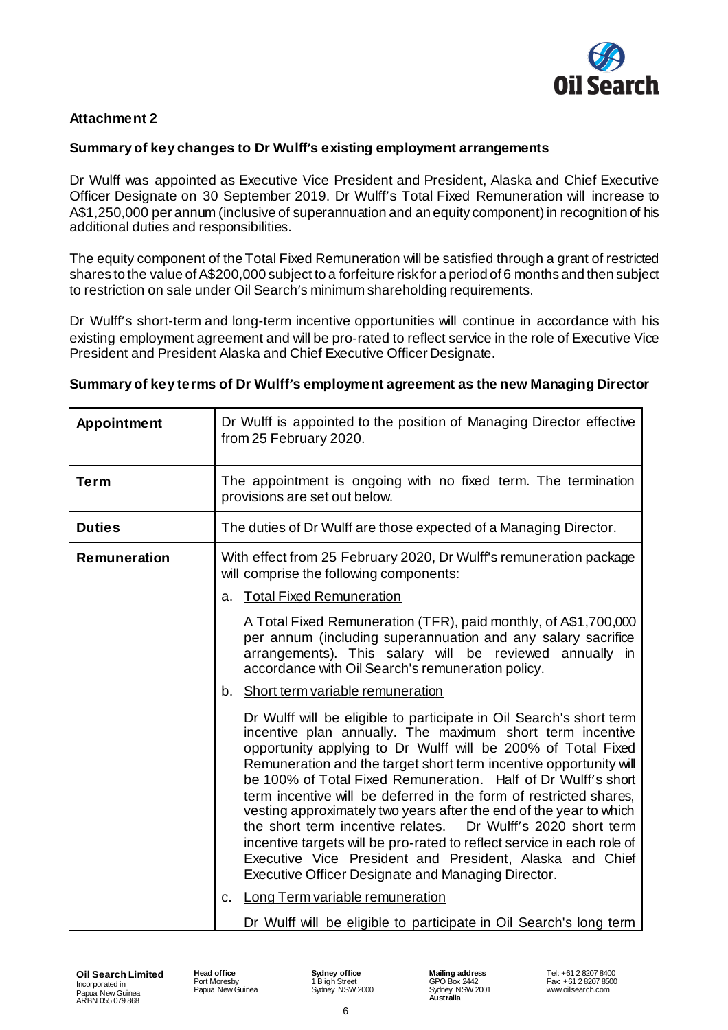

## **Attachment 2**

## **Summary of key changes to Dr Wulff's existing employment arrangements**

Dr Wulff was appointed as Executive Vice President and President, Alaska and Chief Executive Officer Designate on 30 September 2019. Dr Wulff's Total Fixed Remuneration will increase to A\$1,250,000 per annum (inclusive of superannuation and an equity component) in recognition of his additional duties and responsibilities.

The equity component of the Total Fixed Remuneration will be satisfied through a grant of restricted shares to the value of A\$200,000 subject to a forfeiture risk for a period of 6 months and then subject to restriction on sale under Oil Search's minimum shareholding requirements.

Dr Wulff's short-term and long-term incentive opportunities will continue in accordance with his existing employment agreement and will be pro-rated to reflect service in the role of Executive Vice President and President Alaska and Chief Executive Officer Designate.

## **Summary of key terms of Dr Wulff's employment agreement as the new Managing Director**

| Appointment   | Dr Wulff is appointed to the position of Managing Director effective<br>from 25 February 2020.                                                                                                                                                                                                                                                                                                                                                                                                                                                                                                                                                                                                                                                                                                                                                                                                                                                                                                                                                                                                                                                                                                                                                   |
|---------------|--------------------------------------------------------------------------------------------------------------------------------------------------------------------------------------------------------------------------------------------------------------------------------------------------------------------------------------------------------------------------------------------------------------------------------------------------------------------------------------------------------------------------------------------------------------------------------------------------------------------------------------------------------------------------------------------------------------------------------------------------------------------------------------------------------------------------------------------------------------------------------------------------------------------------------------------------------------------------------------------------------------------------------------------------------------------------------------------------------------------------------------------------------------------------------------------------------------------------------------------------|
| <b>Term</b>   | The appointment is ongoing with no fixed term. The termination<br>provisions are set out below.                                                                                                                                                                                                                                                                                                                                                                                                                                                                                                                                                                                                                                                                                                                                                                                                                                                                                                                                                                                                                                                                                                                                                  |
| <b>Duties</b> | The duties of Dr Wulff are those expected of a Managing Director.                                                                                                                                                                                                                                                                                                                                                                                                                                                                                                                                                                                                                                                                                                                                                                                                                                                                                                                                                                                                                                                                                                                                                                                |
| Remuneration  | With effect from 25 February 2020, Dr Wulff's remuneration package<br>will comprise the following components:<br><b>Total Fixed Remuneration</b><br>a.<br>A Total Fixed Remuneration (TFR), paid monthly, of A\$1,700,000<br>per annum (including superannuation and any salary sacrifice<br>arrangements). This salary will be reviewed annually in<br>accordance with Oil Search's remuneration policy.<br>Short term variable remuneration<br>b.<br>Dr Wulff will be eligible to participate in Oil Search's short term<br>incentive plan annually. The maximum short term incentive<br>opportunity applying to Dr Wulff will be 200% of Total Fixed<br>Remuneration and the target short term incentive opportunity will<br>be 100% of Total Fixed Remuneration. Half of Dr Wulff's short<br>term incentive will be deferred in the form of restricted shares,<br>vesting approximately two years after the end of the year to which<br>Dr Wulff's 2020 short term<br>the short term incentive relates.<br>incentive targets will be pro-rated to reflect service in each role of<br>Executive Vice President and President, Alaska and Chief<br>Executive Officer Designate and Managing Director.<br>Long Term variable remuneration<br>C. |
|               | Dr Wulff will be eligible to participate in Oil Search's long term                                                                                                                                                                                                                                                                                                                                                                                                                                                                                                                                                                                                                                                                                                                                                                                                                                                                                                                                                                                                                                                                                                                                                                               |